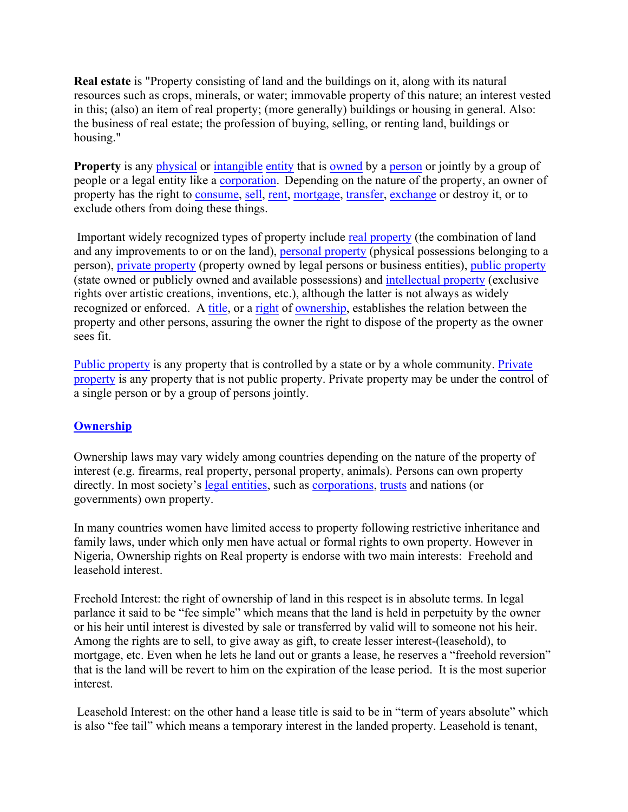**Real estate** is "Property consisting of land and the buildings on it, along with its natural resources such as crops, minerals, or water; immovable property of this nature; an interest vested in this; (also) an item of real property; (more generally) buildings or housing in general. Also: the business of real estate; the profession of buying, selling, or renting land, buildings or housing."

**Property** is any physical or intangible entity that is owned by a person or jointly by a group of people or a legal entity like a corporation. Depending on the nature of the property, an owner of property has the right to consume, sell, rent, mortgage, transfer, exchange or destroy it, or to exclude others from doing these things.

Important widely recognized types of property include real property (the combination of land and any improvements to or on the land), personal property (physical possessions belonging to a person), private property (property owned by legal persons or business entities), public property (state owned or publicly owned and available possessions) and intellectual property (exclusive rights over artistic creations, inventions, etc.), although the latter is not always as widely recognized or enforced. A title, or a right of ownership, establishes the relation between the property and other persons, assuring the owner the right to dispose of the property as the owner sees fit.

Public property is any property that is controlled by a state or by a whole community. Private property is any property that is not public property. Private property may be under the control of a single person or by a group of persons jointly.

### **Ownership**

Ownership laws may vary widely among countries depending on the nature of the property of interest (e.g. firearms, real property, personal property, animals). Persons can own property directly. In most society's legal entities, such as corporations, trusts and nations (or governments) own property.

In many countries women have limited access to property following restrictive inheritance and family laws, under which only men have actual or formal rights to own property. However in Nigeria, Ownership rights on Real property is endorse with two main interests: Freehold and leasehold interest.

Freehold Interest: the right of ownership of land in this respect is in absolute terms. In legal parlance it said to be "fee simple" which means that the land is held in perpetuity by the owner or his heir until interest is divested by sale or transferred by valid will to someone not his heir. Among the rights are to sell, to give away as gift, to create lesser interest-(leasehold), to mortgage, etc. Even when he lets he land out or grants a lease, he reserves a "freehold reversion" that is the land will be revert to him on the expiration of the lease period. It is the most superior interest.

Leasehold Interest: on the other hand a lease title is said to be in "term of years absolute" which is also "fee tail" which means a temporary interest in the landed property. Leasehold is tenant,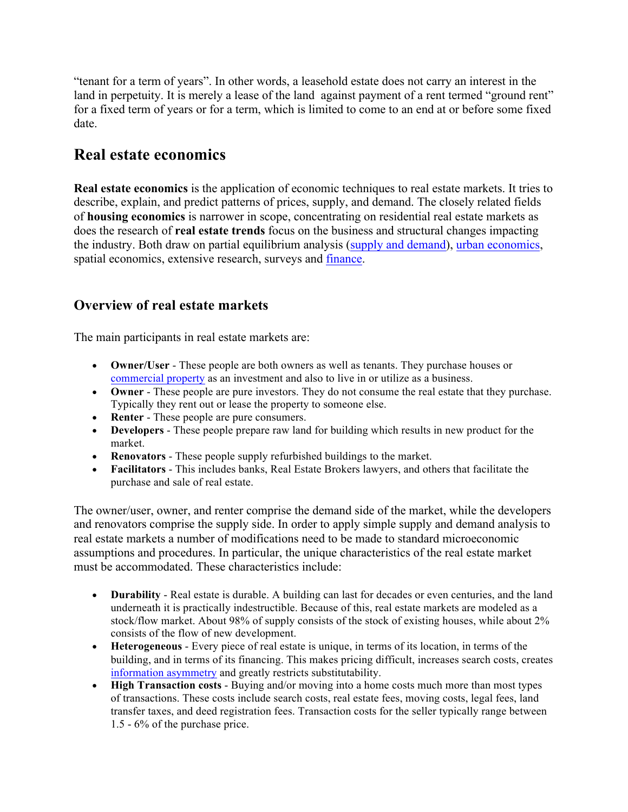"tenant for a term of years". In other words, a leasehold estate does not carry an interest in the land in perpetuity. It is merely a lease of the land against payment of a rent termed "ground rent" for a fixed term of years or for a term, which is limited to come to an end at or before some fixed date.

# **Real estate economics**

**Real estate economics** is the application of economic techniques to real estate markets. It tries to describe, explain, and predict patterns of prices, supply, and demand. The closely related fields of **housing economics** is narrower in scope, concentrating on residential real estate markets as does the research of **real estate trends** focus on the business and structural changes impacting the industry. Both draw on partial equilibrium analysis (supply and demand), urban economics, spatial economics, extensive research, surveys and finance.

# **Overview of real estate markets**

The main participants in real estate markets are:

- **Owner/User** These people are both owners as well as tenants. They purchase houses or commercial property as an investment and also to live in or utilize as a business.
- **Owner** These people are pure investors. They do not consume the real estate that they purchase. Typically they rent out or lease the property to someone else.
- **Renter** These people are pure consumers.
- **Developers** These people prepare raw land for building which results in new product for the market.
- **Renovators** These people supply refurbished buildings to the market.
- **Facilitators** This includes banks, Real Estate Brokers lawyers, and others that facilitate the purchase and sale of real estate.

The owner/user, owner, and renter comprise the demand side of the market, while the developers and renovators comprise the supply side. In order to apply simple supply and demand analysis to real estate markets a number of modifications need to be made to standard microeconomic assumptions and procedures. In particular, the unique characteristics of the real estate market must be accommodated. These characteristics include:

- **Durability** Real estate is durable. A building can last for decades or even centuries, and the land underneath it is practically indestructible. Because of this, real estate markets are modeled as a stock/flow market. About 98% of supply consists of the stock of existing houses, while about 2% consists of the flow of new development.
- **Heterogeneous** Every piece of real estate is unique, in terms of its location, in terms of the building, and in terms of its financing. This makes pricing difficult, increases search costs, creates information asymmetry and greatly restricts substitutability.
- **High Transaction costs** Buying and/or moving into a home costs much more than most types of transactions. These costs include search costs, real estate fees, moving costs, legal fees, land transfer taxes, and deed registration fees. Transaction costs for the seller typically range between 1.5 - 6% of the purchase price.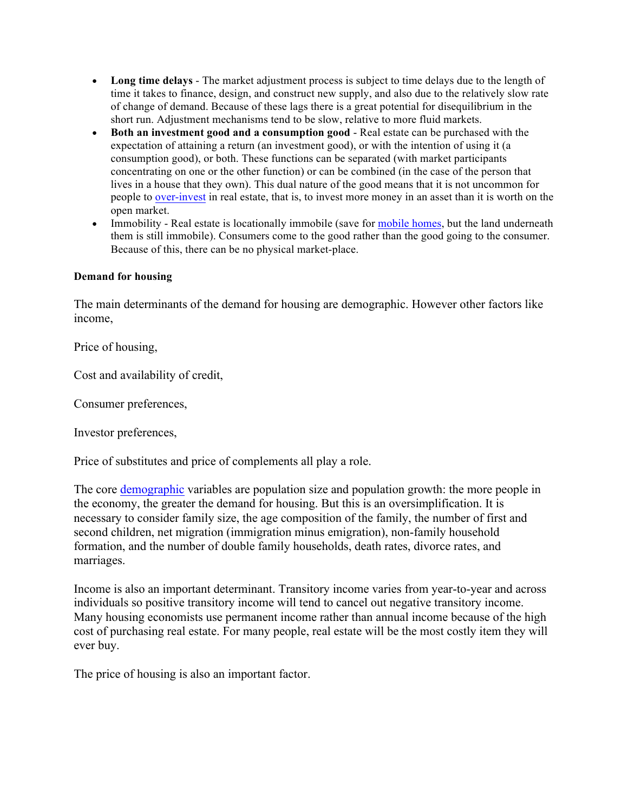- **Long time delays** The market adjustment process is subject to time delays due to the length of time it takes to finance, design, and construct new supply, and also due to the relatively slow rate of change of demand. Because of these lags there is a great potential for disequilibrium in the short run. Adjustment mechanisms tend to be slow, relative to more fluid markets.
- **Both an investment good and a consumption good** Real estate can be purchased with the expectation of attaining a return (an investment good), or with the intention of using it (a consumption good), or both. These functions can be separated (with market participants concentrating on one or the other function) or can be combined (in the case of the person that lives in a house that they own). This dual nature of the good means that it is not uncommon for people to over-invest in real estate, that is, to invest more money in an asset than it is worth on the open market.
- Immobility Real estate is locationally immobile (save for mobile homes, but the land underneath them is still immobile). Consumers come to the good rather than the good going to the consumer. Because of this, there can be no physical market-place.

### **Demand for housing**

The main determinants of the demand for housing are demographic. However other factors like income,

Price of housing,

Cost and availability of credit,

Consumer preferences,

Investor preferences,

Price of substitutes and price of complements all play a role.

The core demographic variables are population size and population growth: the more people in the economy, the greater the demand for housing. But this is an oversimplification. It is necessary to consider family size, the age composition of the family, the number of first and second children, net migration (immigration minus emigration), non-family household formation, and the number of double family households, death rates, divorce rates, and marriages.

Income is also an important determinant. Transitory income varies from year-to-year and across individuals so positive transitory income will tend to cancel out negative transitory income. Many housing economists use permanent income rather than annual income because of the high cost of purchasing real estate. For many people, real estate will be the most costly item they will ever buy.

The price of housing is also an important factor.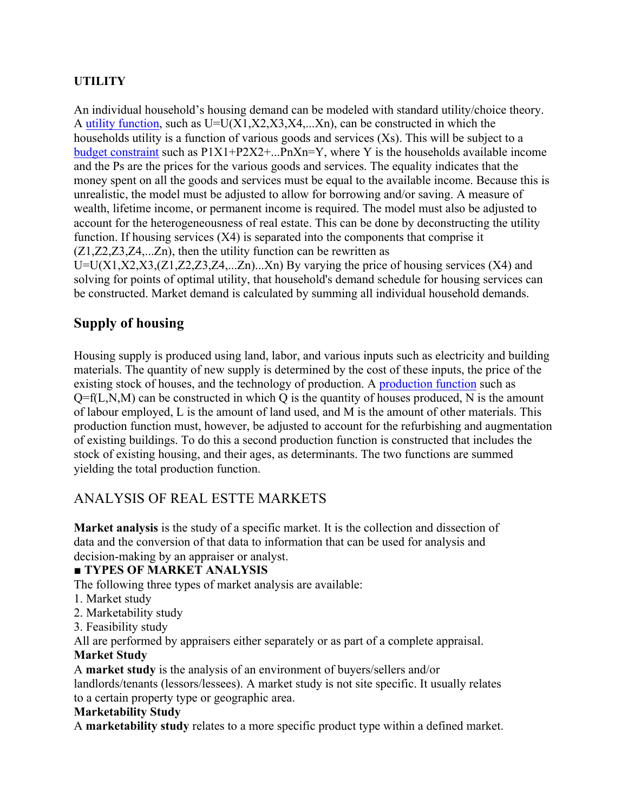# **UTILITY**

An individual household's housing demand can be modeled with standard utility/choice theory. A utility function, such as  $U=U(X1,X2,X3,X4,...Xn)$ , can be constructed in which the households utility is a function of various goods and services (Xs). This will be subject to a budget constraint such as P1X1+P2X2+...PnXn=Y, where Y is the households available income and the Ps are the prices for the various goods and services. The equality indicates that the money spent on all the goods and services must be equal to the available income. Because this is unrealistic, the model must be adjusted to allow for borrowing and/or saving. A measure of wealth, lifetime income, or permanent income is required. The model must also be adjusted to account for the heterogeneousness of real estate. This can be done by deconstructing the utility function. If housing services (X4) is separated into the components that comprise it  $(Z1, Z2, Z3, Z4, \ldots, Zn)$ , then the utility function can be rewritten as

 $U=U(X1,X2,X3,(Z1,Z2,Z3,Z4,...Zn)...Xn)$  By varying the price of housing services  $(X4)$  and solving for points of optimal utility, that household's demand schedule for housing services can be constructed. Market demand is calculated by summing all individual household demands.

# **Supply of housing**

Housing supply is produced using land, labor, and various inputs such as electricity and building materials. The quantity of new supply is determined by the cost of these inputs, the price of the existing stock of houses, and the technology of production. A production function such as  $Q=f(L,N,M)$  can be constructed in which Q is the quantity of houses produced, N is the amount of labour employed, L is the amount of land used, and M is the amount of other materials. This production function must, however, be adjusted to account for the refurbishing and augmentation of existing buildings. To do this a second production function is constructed that includes the stock of existing housing, and their ages, as determinants. The two functions are summed yielding the total production function.

# ANALYSIS OF REAL ESTTE MARKETS

**Market analysis** is the study of a specific market. It is the collection and dissection of data and the conversion of that data to information that can be used for analysis and decision-making by an appraiser or analyst.

### ■ **TYPES OF MARKET ANALYSIS**

The following three types of market analysis are available:

- 1. Market study
- 2. Marketability study
- 3. Feasibility study

All are performed by appraisers either separately or as part of a complete appraisal. **Market Study**

A **market study** is the analysis of an environment of buyers/sellers and/or landlords/tenants (lessors/lessees). A market study is not site specific. It usually relates to a certain property type or geographic area.

### **Marketability Study**

A **marketability study** relates to a more specific product type within a defined market.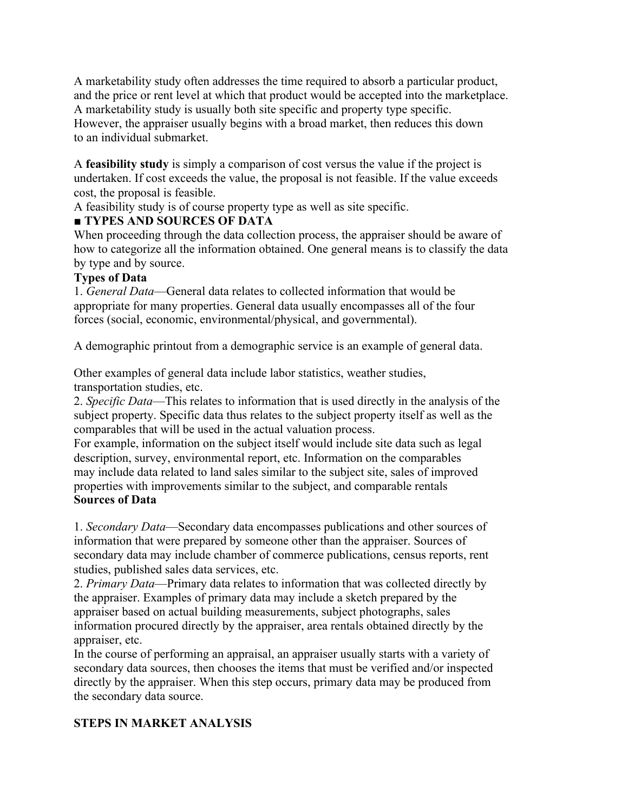A marketability study often addresses the time required to absorb a particular product, and the price or rent level at which that product would be accepted into the marketplace. A marketability study is usually both site specific and property type specific. However, the appraiser usually begins with a broad market, then reduces this down to an individual submarket.

A **feasibility study** is simply a comparison of cost versus the value if the project is undertaken. If cost exceeds the value, the proposal is not feasible. If the value exceeds cost, the proposal is feasible.

A feasibility study is of course property type as well as site specific.

# ■ **TYPES AND SOURCES OF DATA**

When proceeding through the data collection process, the appraiser should be aware of how to categorize all the information obtained. One general means is to classify the data by type and by source.

# **Types of Data**

1. *General Data*—General data relates to collected information that would be appropriate for many properties. General data usually encompasses all of the four forces (social, economic, environmental/physical, and governmental).

A demographic printout from a demographic service is an example of general data.

Other examples of general data include labor statistics, weather studies, transportation studies, etc.

2. *Specific Data*—This relates to information that is used directly in the analysis of the subject property. Specific data thus relates to the subject property itself as well as the comparables that will be used in the actual valuation process.

For example, information on the subject itself would include site data such as legal description, survey, environmental report, etc. Information on the comparables may include data related to land sales similar to the subject site, sales of improved properties with improvements similar to the subject, and comparable rentals **Sources of Data**

1. *Secondary Data*—Secondary data encompasses publications and other sources of information that were prepared by someone other than the appraiser. Sources of secondary data may include chamber of commerce publications, census reports, rent studies, published sales data services, etc.

2. *Primary Data*—Primary data relates to information that was collected directly by the appraiser. Examples of primary data may include a sketch prepared by the appraiser based on actual building measurements, subject photographs, sales information procured directly by the appraiser, area rentals obtained directly by the appraiser, etc.

In the course of performing an appraisal, an appraiser usually starts with a variety of secondary data sources, then chooses the items that must be verified and/or inspected directly by the appraiser. When this step occurs, primary data may be produced from the secondary data source.

# **STEPS IN MARKET ANALYSIS**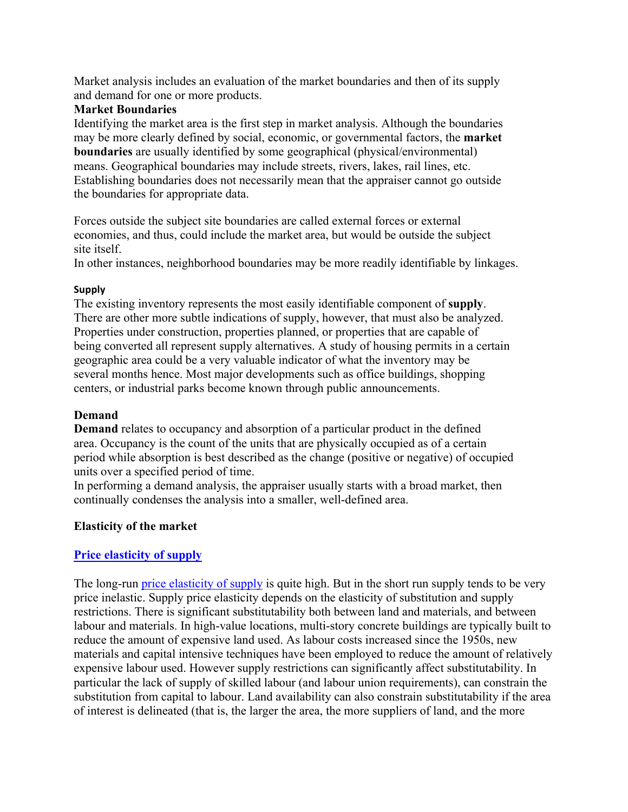Market analysis includes an evaluation of the market boundaries and then of its supply and demand for one or more products.

### **Market Boundaries**

Identifying the market area is the first step in market analysis. Although the boundaries may be more clearly defined by social, economic, or governmental factors, the **market boundaries** are usually identified by some geographical (physical/environmental) means. Geographical boundaries may include streets, rivers, lakes, rail lines, etc. Establishing boundaries does not necessarily mean that the appraiser cannot go outside the boundaries for appropriate data.

Forces outside the subject site boundaries are called external forces or external economies, and thus, could include the market area, but would be outside the subject site itself.

In other instances, neighborhood boundaries may be more readily identifiable by linkages.

### **Supply**

The existing inventory represents the most easily identifiable component of **supply**. There are other more subtle indications of supply, however, that must also be analyzed. Properties under construction, properties planned, or properties that are capable of being converted all represent supply alternatives. A study of housing permits in a certain geographic area could be a very valuable indicator of what the inventory may be several months hence. Most major developments such as office buildings, shopping centers, or industrial parks become known through public announcements.

### **Demand**

**Demand** relates to occupancy and absorption of a particular product in the defined area. Occupancy is the count of the units that are physically occupied as of a certain period while absorption is best described as the change (positive or negative) of occupied units over a specified period of time.

In performing a demand analysis, the appraiser usually starts with a broad market, then continually condenses the analysis into a smaller, well-defined area.

### **Elasticity of the market**

### **Price elasticity of supply**

The long-run price elasticity of supply is quite high. But in the short run supply tends to be very price inelastic. Supply price elasticity depends on the elasticity of substitution and supply restrictions. There is significant substitutability both between land and materials, and between labour and materials. In high-value locations, multi-story concrete buildings are typically built to reduce the amount of expensive land used. As labour costs increased since the 1950s, new materials and capital intensive techniques have been employed to reduce the amount of relatively expensive labour used. However supply restrictions can significantly affect substitutability. In particular the lack of supply of skilled labour (and labour union requirements), can constrain the substitution from capital to labour. Land availability can also constrain substitutability if the area of interest is delineated (that is, the larger the area, the more suppliers of land, and the more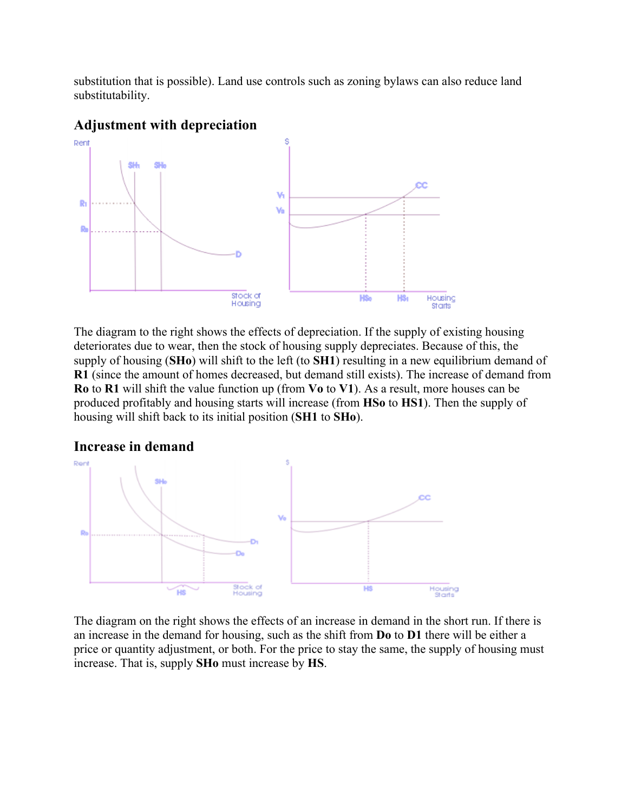substitution that is possible). Land use controls such as zoning bylaws can also reduce land substitutability.



# **Adjustment with depreciation**

The diagram to the right shows the effects of depreciation. If the supply of existing housing deteriorates due to wear, then the stock of housing supply depreciates. Because of this, the supply of housing (**SHo**) will shift to the left (to **SH1**) resulting in a new equilibrium demand of **R1** (since the amount of homes decreased, but demand still exists). The increase of demand from **Ro** to **R1** will shift the value function up (from **Vo** to **V1**). As a result, more houses can be produced profitably and housing starts will increase (from **HSo** to **HS1**). Then the supply of housing will shift back to its initial position (**SH1** to **SHo**).





The diagram on the right shows the effects of an increase in demand in the short run. If there is an increase in the demand for housing, such as the shift from **Do** to **D1** there will be either a price or quantity adjustment, or both. For the price to stay the same, the supply of housing must increase. That is, supply **SHo** must increase by **HS**.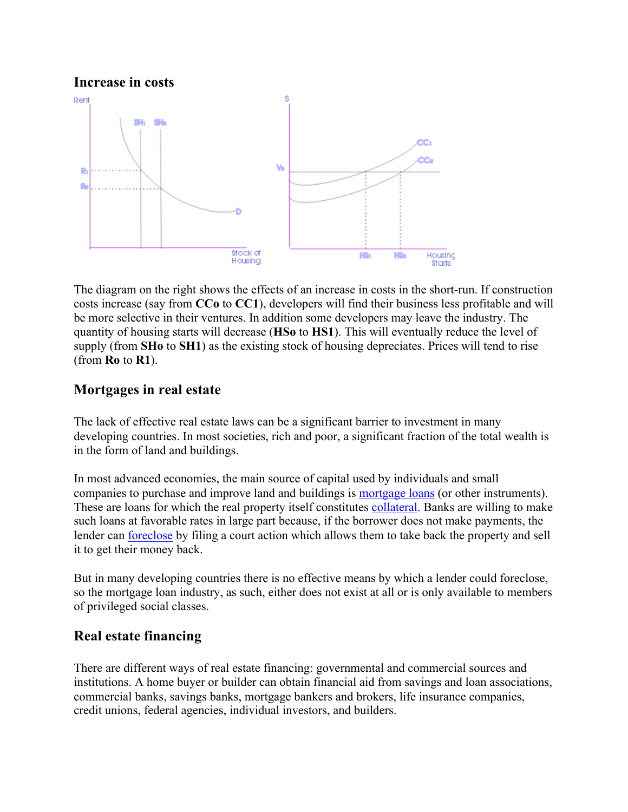### **Increase in costs**



The diagram on the right shows the effects of an increase in costs in the short-run. If construction costs increase (say from **CCo** to **CC1**), developers will find their business less profitable and will be more selective in their ventures. In addition some developers may leave the industry. The quantity of housing starts will decrease (**HSo** to **HS1**). This will eventually reduce the level of supply (from **SHo** to **SH1**) as the existing stock of housing depreciates. Prices will tend to rise (from **Ro** to **R1**).

# **Mortgages in real estate**

The lack of effective real estate laws can be a significant barrier to investment in many developing countries. In most societies, rich and poor, a significant fraction of the total wealth is in the form of land and buildings.

In most advanced economies, the main source of capital used by individuals and small companies to purchase and improve land and buildings is mortgage loans (or other instruments). These are loans for which the real property itself constitutes collateral. Banks are willing to make such loans at favorable rates in large part because, if the borrower does not make payments, the lender can foreclose by filing a court action which allows them to take back the property and sell it to get their money back.

But in many developing countries there is no effective means by which a lender could foreclose, so the mortgage loan industry, as such, either does not exist at all or is only available to members of privileged social classes.

# **Real estate financing**

There are different ways of real estate financing: governmental and commercial sources and institutions. A home buyer or builder can obtain financial aid from savings and loan associations, commercial banks, savings banks, mortgage bankers and brokers, life insurance companies, credit unions, federal agencies, individual investors, and builders.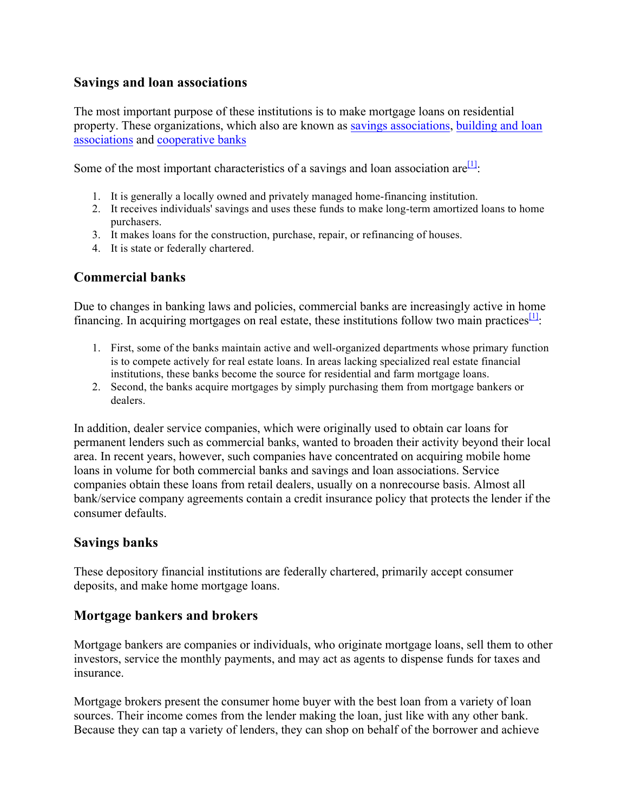## **Savings and loan associations**

The most important purpose of these institutions is to make mortgage loans on residential property. These organizations, which also are known as savings associations, building and loan associations and cooperative banks

Some of the most important characteristics of a savings and loan association are  $\frac{[1]}{[1]}$ :

- 1. It is generally a locally owned and privately managed home-financing institution.
- 2. It receives individuals' savings and uses these funds to make long-term amortized loans to home purchasers.
- 3. It makes loans for the construction, purchase, repair, or refinancing of houses.
- 4. It is state or federally chartered.

# **Commercial banks**

Due to changes in banking laws and policies, commercial banks are increasingly active in home financing. In acquiring mortgages on real estate, these institutions follow two main practices $\mathbb{H}$ :

- 1. First, some of the banks maintain active and well-organized departments whose primary function is to compete actively for real estate loans. In areas lacking specialized real estate financial institutions, these banks become the source for residential and farm mortgage loans.
- 2. Second, the banks acquire mortgages by simply purchasing them from mortgage bankers or dealers.

In addition, dealer service companies, which were originally used to obtain car loans for permanent lenders such as commercial banks, wanted to broaden their activity beyond their local area. In recent years, however, such companies have concentrated on acquiring mobile home loans in volume for both commercial banks and savings and loan associations. Service companies obtain these loans from retail dealers, usually on a nonrecourse basis. Almost all bank/service company agreements contain a credit insurance policy that protects the lender if the consumer defaults.

# **Savings banks**

These depository financial institutions are federally chartered, primarily accept consumer deposits, and make home mortgage loans.

# **Mortgage bankers and brokers**

Mortgage bankers are companies or individuals, who originate mortgage loans, sell them to other investors, service the monthly payments, and may act as agents to dispense funds for taxes and insurance.

Mortgage brokers present the consumer home buyer with the best loan from a variety of loan sources. Their income comes from the lender making the loan, just like with any other bank. Because they can tap a variety of lenders, they can shop on behalf of the borrower and achieve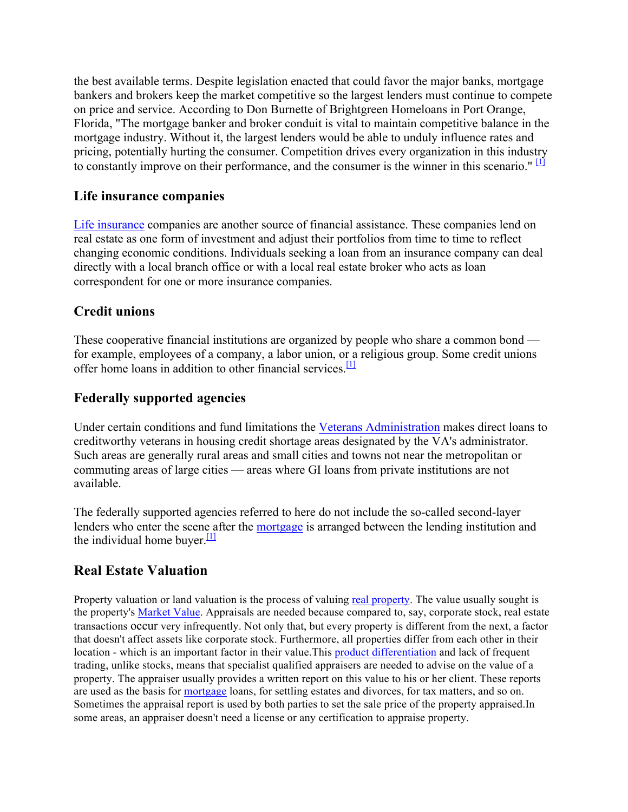the best available terms. Despite legislation enacted that could favor the major banks, mortgage bankers and brokers keep the market competitive so the largest lenders must continue to compete on price and service. According to Don Burnette of Brightgreen Homeloans in Port Orange, Florida, "The mortgage banker and broker conduit is vital to maintain competitive balance in the mortgage industry. Without it, the largest lenders would be able to unduly influence rates and pricing, potentially hurting the consumer. Competition drives every organization in this industry to constantly improve on their performance, and the consumer is the winner in this scenario."  $\frac{11}{11}$ 

## **Life insurance companies**

Life insurance companies are another source of financial assistance. These companies lend on real estate as one form of investment and adjust their portfolios from time to time to reflect changing economic conditions. Individuals seeking a loan from an insurance company can deal directly with a local branch office or with a local real estate broker who acts as loan correspondent for one or more insurance companies.

## **Credit unions**

These cooperative financial institutions are organized by people who share a common bond for example, employees of a company, a labor union, or a religious group. Some credit unions offer home loans in addition to other financial services.  $[1]$ 

## **Federally supported agencies**

Under certain conditions and fund limitations the Veterans Administration makes direct loans to creditworthy veterans in housing credit shortage areas designated by the VA's administrator. Such areas are generally rural areas and small cities and towns not near the metropolitan or commuting areas of large cities — areas where GI loans from private institutions are not available.

The federally supported agencies referred to here do not include the so-called second-layer lenders who enter the scene after the mortgage is arranged between the lending institution and the individual home buyer. $\Box$ 

# **Real Estate Valuation**

Property valuation or land valuation is the process of valuing real property. The value usually sought is the property's Market Value. Appraisals are needed because compared to, say, corporate stock, real estate transactions occur very infrequently. Not only that, but every property is different from the next, a factor that doesn't affect assets like corporate stock. Furthermore, all properties differ from each other in their location - which is an important factor in their value.This product differentiation and lack of frequent trading, unlike stocks, means that specialist qualified appraisers are needed to advise on the value of a property. The appraiser usually provides a written report on this value to his or her client. These reports are used as the basis for mortgage loans, for settling estates and divorces, for tax matters, and so on. Sometimes the appraisal report is used by both parties to set the sale price of the property appraised.In some areas, an appraiser doesn't need a license or any certification to appraise property.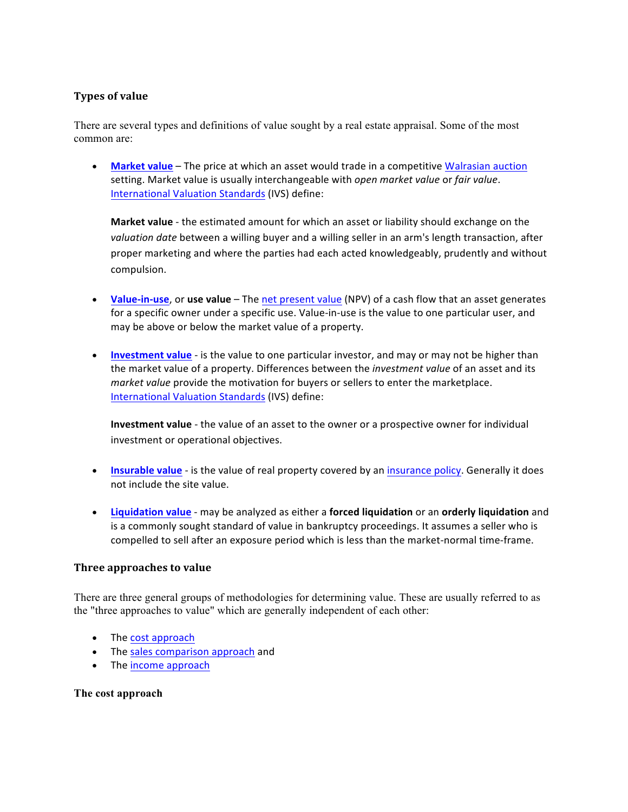### **Types of value**

There are several types and definitions of value sought by a real estate appraisal. Some of the most common are:

• Market value – The price at which an asset would trade in a competitive Walrasian auction setting. Market value is usually interchangeable with *open market value* or *fair value*. International Valuation Standards (IVS) define:

**Market value** - the estimated amount for which an asset or liability should exchange on the valuation date between a willing buyer and a willing seller in an arm's length transaction, after proper marketing and where the parties had each acted knowledgeably, prudently and without compulsion.

- Value-in-use, or use value The net present value (NPV) of a cash flow that an asset generates for a specific owner under a specific use. Value-in-use is the value to one particular user, and may be above or below the market value of a property.
- **Investment value** is the value to one particular investor, and may or may not be higher than the market value of a property. Differences between the *investment value* of an asset and its *market value* provide the motivation for buyers or sellers to enter the marketplace. International Valuation Standards (IVS) define:

**Investment value** - the value of an asset to the owner or a prospective owner for individual investment or operational objectives.

- **Insurable value** is the value of real property covered by an insurance policy. Generally it does not include the site value.
- Liquidation value may be analyzed as either a forced liquidation or an orderly liquidation and is a commonly sought standard of value in bankruptcy proceedings. It assumes a seller who is compelled to sell after an exposure period which is less than the market-normal time-frame.

### **Three approaches to value**

There are three general groups of methodologies for determining value. These are usually referred to as the "three approaches to value" which are generally independent of each other:

- The cost approach
- The sales comparison approach and
- The income approach

### **The cost approach**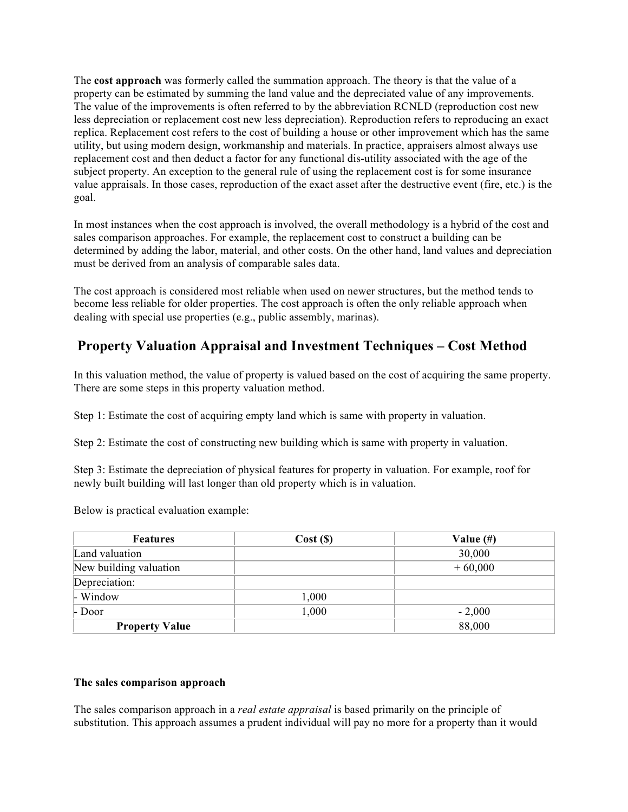The **cost approach** was formerly called the summation approach. The theory is that the value of a property can be estimated by summing the land value and the depreciated value of any improvements. The value of the improvements is often referred to by the abbreviation RCNLD (reproduction cost new less depreciation or replacement cost new less depreciation). Reproduction refers to reproducing an exact replica. Replacement cost refers to the cost of building a house or other improvement which has the same utility, but using modern design, workmanship and materials. In practice, appraisers almost always use replacement cost and then deduct a factor for any functional dis-utility associated with the age of the subject property. An exception to the general rule of using the replacement cost is for some insurance value appraisals. In those cases, reproduction of the exact asset after the destructive event (fire, etc.) is the goal.

In most instances when the cost approach is involved, the overall methodology is a hybrid of the cost and sales comparison approaches. For example, the replacement cost to construct a building can be determined by adding the labor, material, and other costs. On the other hand, land values and depreciation must be derived from an analysis of comparable sales data.

The cost approach is considered most reliable when used on newer structures, but the method tends to become less reliable for older properties. The cost approach is often the only reliable approach when dealing with special use properties (e.g., public assembly, marinas).

# **Property Valuation Appraisal and Investment Techniques – Cost Method**

In this valuation method, the value of property is valued based on the cost of acquiring the same property. There are some steps in this property valuation method.

Step 1: Estimate the cost of acquiring empty land which is same with property in valuation.

Step 2: Estimate the cost of constructing new building which is same with property in valuation.

Step 3: Estimate the depreciation of physical features for property in valuation. For example, roof for newly built building will last longer than old property which is in valuation.

Below is practical evaluation example:

| <b>Features</b>        | Cost(S) | Value $(\#)$ |
|------------------------|---------|--------------|
| Land valuation         |         | 30,000       |
| New building valuation |         | $+60,000$    |
| Depreciation:          |         |              |
| - Window               | 1,000   |              |
| - Door                 | 1,000   | $-2,000$     |
| <b>Property Value</b>  |         | 88,000       |

### **The sales comparison approach**

The sales comparison approach in a *real estate appraisal* is based primarily on the principle of substitution. This approach assumes a prudent individual will pay no more for a property than it would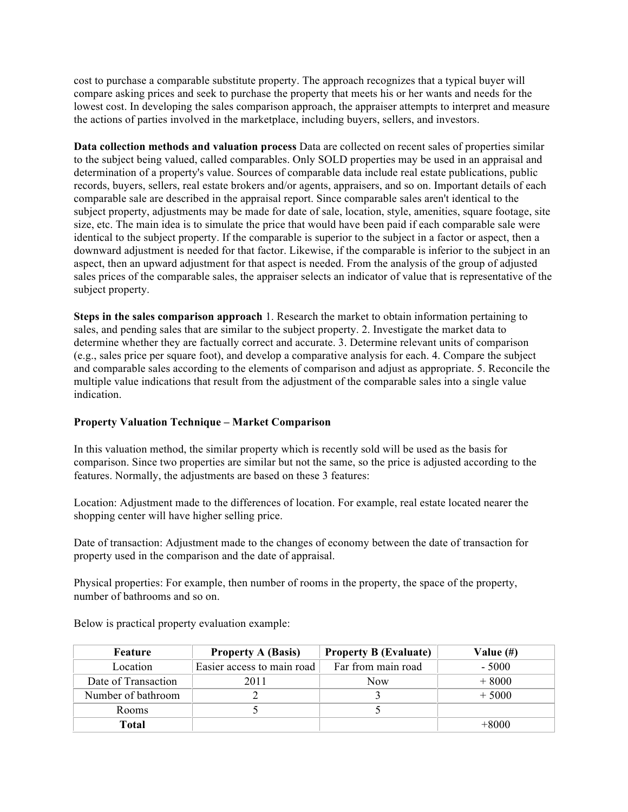cost to purchase a comparable substitute property. The approach recognizes that a typical buyer will compare asking prices and seek to purchase the property that meets his or her wants and needs for the lowest cost. In developing the sales comparison approach, the appraiser attempts to interpret and measure the actions of parties involved in the marketplace, including buyers, sellers, and investors.

**Data collection methods and valuation process** Data are collected on recent sales of properties similar to the subject being valued, called comparables. Only SOLD properties may be used in an appraisal and determination of a property's value. Sources of comparable data include real estate publications, public records, buyers, sellers, real estate brokers and/or agents, appraisers, and so on. Important details of each comparable sale are described in the appraisal report. Since comparable sales aren't identical to the subject property, adjustments may be made for date of sale, location, style, amenities, square footage, site size, etc. The main idea is to simulate the price that would have been paid if each comparable sale were identical to the subject property. If the comparable is superior to the subject in a factor or aspect, then a downward adjustment is needed for that factor. Likewise, if the comparable is inferior to the subject in an aspect, then an upward adjustment for that aspect is needed. From the analysis of the group of adjusted sales prices of the comparable sales, the appraiser selects an indicator of value that is representative of the subject property.

**Steps in the sales comparison approach** 1. Research the market to obtain information pertaining to sales, and pending sales that are similar to the subject property. 2. Investigate the market data to determine whether they are factually correct and accurate. 3. Determine relevant units of comparison (e.g., sales price per square foot), and develop a comparative analysis for each. 4. Compare the subject and comparable sales according to the elements of comparison and adjust as appropriate. 5. Reconcile the multiple value indications that result from the adjustment of the comparable sales into a single value indication.

### **Property Valuation Technique – Market Comparison**

In this valuation method, the similar property which is recently sold will be used as the basis for comparison. Since two properties are similar but not the same, so the price is adjusted according to the features. Normally, the adjustments are based on these 3 features:

Location: Adjustment made to the differences of location. For example, real estate located nearer the shopping center will have higher selling price.

Date of transaction: Adjustment made to the changes of economy between the date of transaction for property used in the comparison and the date of appraisal.

Physical properties: For example, then number of rooms in the property, the space of the property, number of bathrooms and so on.

| Feature             | <b>Property A (Basis)</b>  | <b>Property B (Evaluate)</b> | Value $(\#)$ |
|---------------------|----------------------------|------------------------------|--------------|
| Location            | Easier access to main road | Far from main road           | $-5000$      |
| Date of Transaction | 2011                       | Now.                         | $+8000$      |
| Number of bathroom  |                            |                              | $+5000$      |
| Rooms               |                            |                              |              |
| Total               |                            |                              | $+8000$      |

Below is practical property evaluation example: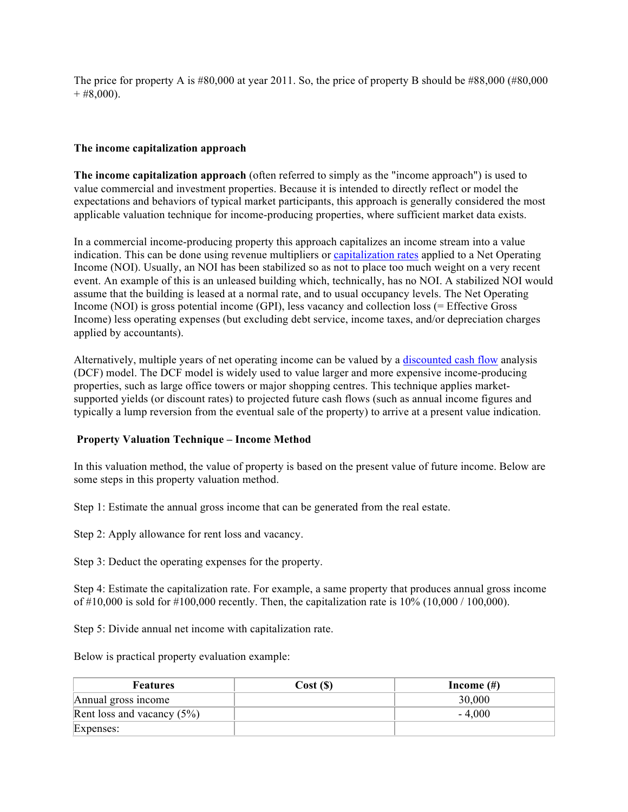The price for property A is #80,000 at year 2011. So, the price of property B should be #88,000 (#80,000  $+$  #8,000).

#### **The income capitalization approach**

**The income capitalization approach** (often referred to simply as the "income approach") is used to value commercial and investment properties. Because it is intended to directly reflect or model the expectations and behaviors of typical market participants, this approach is generally considered the most applicable valuation technique for income-producing properties, where sufficient market data exists.

In a commercial income-producing property this approach capitalizes an income stream into a value indication. This can be done using revenue multipliers or capitalization rates applied to a Net Operating Income (NOI). Usually, an NOI has been stabilized so as not to place too much weight on a very recent event. An example of this is an unleased building which, technically, has no NOI. A stabilized NOI would assume that the building is leased at a normal rate, and to usual occupancy levels. The Net Operating Income (NOI) is gross potential income (GPI), less vacancy and collection loss (= Effective Gross Income) less operating expenses (but excluding debt service, income taxes, and/or depreciation charges applied by accountants).

Alternatively, multiple years of net operating income can be valued by a discounted cash flow analysis (DCF) model. The DCF model is widely used to value larger and more expensive income-producing properties, such as large office towers or major shopping centres. This technique applies marketsupported yields (or discount rates) to projected future cash flows (such as annual income figures and typically a lump reversion from the eventual sale of the property) to arrive at a present value indication.

### **Property Valuation Technique – Income Method**

In this valuation method, the value of property is based on the present value of future income. Below are some steps in this property valuation method.

Step 1: Estimate the annual gross income that can be generated from the real estate.

Step 2: Apply allowance for rent loss and vacancy.

Step 3: Deduct the operating expenses for the property.

Step 4: Estimate the capitalization rate. For example, a same property that produces annual gross income of #10,000 is sold for #100,000 recently. Then, the capitalization rate is 10% (10,000 / 100,000).

Step 5: Divide annual net income with capitalization rate.

Below is practical property evaluation example:

| <b>Features</b>               | Cost(S) | Income $(\#)$ |
|-------------------------------|---------|---------------|
| Annual gross income           |         | 30,000        |
| Rent loss and vacancy $(5\%)$ |         | $-4,000$      |
| Expenses:                     |         |               |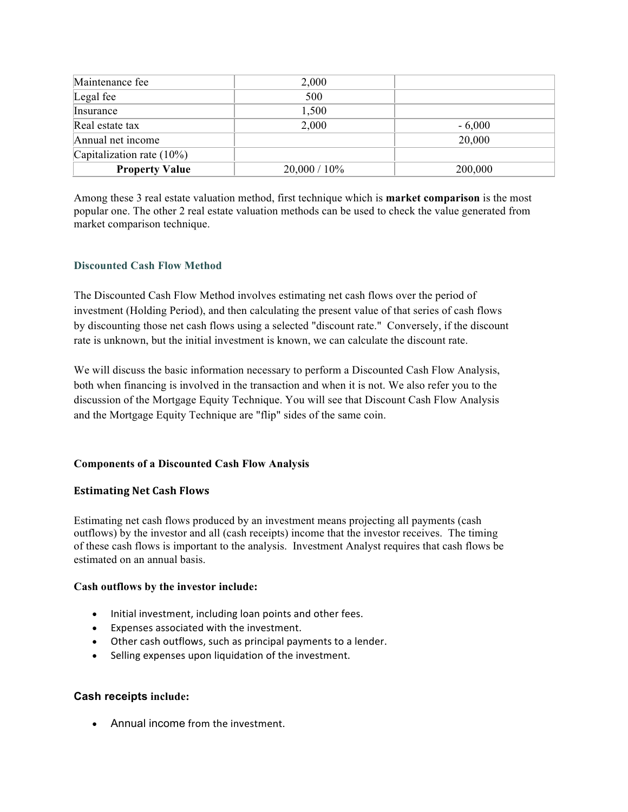| Maintenance fee              | 2,000           |          |
|------------------------------|-----------------|----------|
| Legal fee                    | 500             |          |
| Insurance                    | 1,500           |          |
| Real estate tax              | 2,000           | $-6,000$ |
| Annual net income            |                 | 20,000   |
| Capitalization rate $(10\%)$ |                 |          |
| <b>Property Value</b>        | $20,000 / 10\%$ | 200,000  |

Among these 3 real estate valuation method, first technique which is **market comparison** is the most popular one. The other 2 real estate valuation methods can be used to check the value generated from market comparison technique.

### **Discounted Cash Flow Method**

The Discounted Cash Flow Method involves estimating net cash flows over the period of investment (Holding Period), and then calculating the present value of that series of cash flows by discounting those net cash flows using a selected "discount rate." Conversely, if the discount rate is unknown, but the initial investment is known, we can calculate the discount rate.

We will discuss the basic information necessary to perform a Discounted Cash Flow Analysis, both when financing is involved in the transaction and when it is not. We also refer you to the discussion of the Mortgage Equity Technique. You will see that Discount Cash Flow Analysis and the Mortgage Equity Technique are "flip" sides of the same coin.

### **Components of a Discounted Cash Flow Analysis**

### **Estimating Net Cash Flows**

Estimating net cash flows produced by an investment means projecting all payments (cash outflows) by the investor and all (cash receipts) income that the investor receives. The timing of these cash flows is important to the analysis. Investment Analyst requires that cash flows be estimated on an annual basis.

#### **Cash outflows by the investor include:**

- Initial investment, including loan points and other fees.
- Expenses associated with the investment.
- Other cash outflows, such as principal payments to a lender.
- Selling expenses upon liquidation of the investment.

### **Cash receipts include:**

 $\bullet$  Annual income from the investment.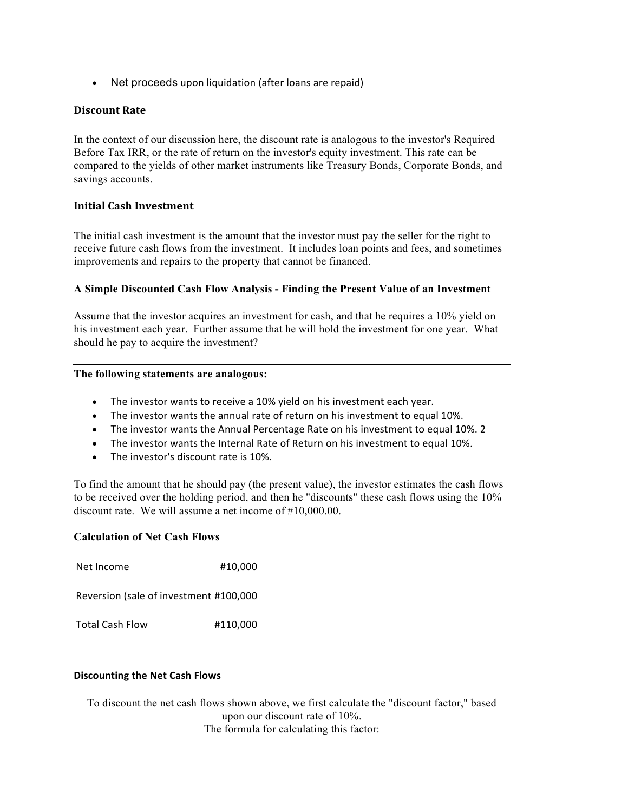• Net proceeds upon liquidation (after loans are repaid)

### **Discount Rate**

In the context of our discussion here, the discount rate is analogous to the investor's Required Before Tax IRR, or the rate of return on the investor's equity investment. This rate can be compared to the yields of other market instruments like Treasury Bonds, Corporate Bonds, and savings accounts.

### **Initial Cash Investment**

The initial cash investment is the amount that the investor must pay the seller for the right to receive future cash flows from the investment. It includes loan points and fees, and sometimes improvements and repairs to the property that cannot be financed.

### **A Simple Discounted Cash Flow Analysis - Finding the Present Value of an Investment**

Assume that the investor acquires an investment for cash, and that he requires a 10% yield on his investment each year. Further assume that he will hold the investment for one year. What should he pay to acquire the investment?

#### **The following statements are analogous:**

- The investor wants to receive a 10% yield on his investment each year.
- The investor wants the annual rate of return on his investment to equal 10%.
- The investor wants the Annual Percentage Rate on his investment to equal 10%. 2
- The investor wants the Internal Rate of Return on his investment to equal 10%.
- The investor's discount rate is 10%.

To find the amount that he should pay (the present value), the investor estimates the cash flows to be received over the holding period, and then he "discounts" these cash flows using the 10% discount rate. We will assume a net income of #10,000.00.

#### **Calculation of Net Cash Flows**

| Net Income                             | #10.000  |
|----------------------------------------|----------|
| Reversion (sale of investment #100,000 |          |
| <b>Total Cash Flow</b>                 | #110,000 |

#### **Discounting the Net Cash Flows**

To discount the net cash flows shown above, we first calculate the "discount factor," based upon our discount rate of 10%. The formula for calculating this factor: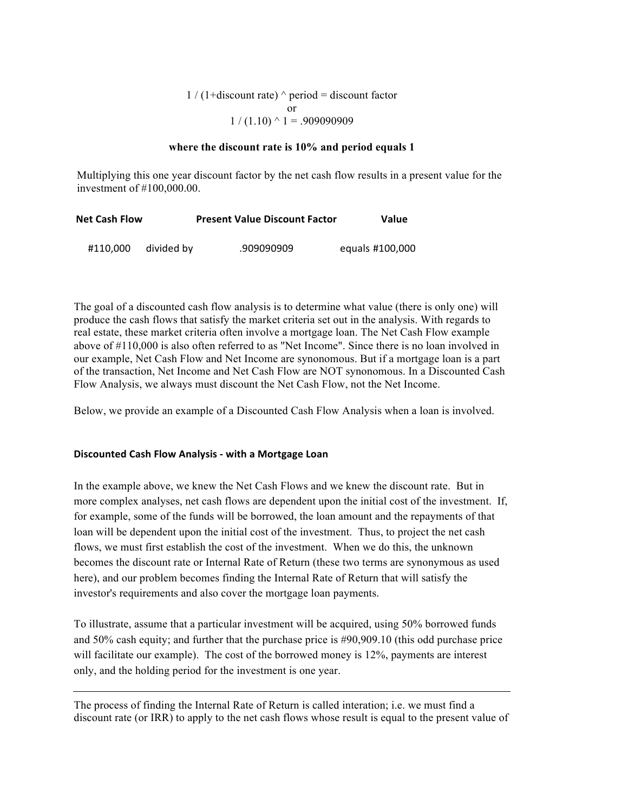### $1 / (1 +$ discount rate)  $\land$  period = discount factor or  $1/(1.10)$  ^ 1 = .909090909

#### **where the discount rate is 10% and period equals 1**

Multiplying this one year discount factor by the net cash flow results in a present value for the investment of #100,000.00.

| <b>Net Cash Flow</b> |            | <b>Present Value Discount Factor</b> | <b>Value</b>    |
|----------------------|------------|--------------------------------------|-----------------|
| #110.000             | divided by | .909090909                           | equals #100,000 |

The goal of a discounted cash flow analysis is to determine what value (there is only one) will produce the cash flows that satisfy the market criteria set out in the analysis. With regards to real estate, these market criteria often involve a mortgage loan. The Net Cash Flow example above of #110,000 is also often referred to as "Net Income". Since there is no loan involved in our example, Net Cash Flow and Net Income are synonomous. But if a mortgage loan is a part of the transaction, Net Income and Net Cash Flow are NOT synonomous. In a Discounted Cash Flow Analysis, we always must discount the Net Cash Flow, not the Net Income.

Below, we provide an example of a Discounted Cash Flow Analysis when a loan is involved.

### **Discounted Cash Flow Analysis - with a Mortgage Loan**

In the example above, we knew the Net Cash Flows and we knew the discount rate. But in more complex analyses, net cash flows are dependent upon the initial cost of the investment. If, for example, some of the funds will be borrowed, the loan amount and the repayments of that loan will be dependent upon the initial cost of the investment. Thus, to project the net cash flows, we must first establish the cost of the investment. When we do this, the unknown becomes the discount rate or Internal Rate of Return (these two terms are synonymous as used here), and our problem becomes finding the Internal Rate of Return that will satisfy the investor's requirements and also cover the mortgage loan payments.

To illustrate, assume that a particular investment will be acquired, using 50% borrowed funds and 50% cash equity; and further that the purchase price is #90,909.10 (this odd purchase price will facilitate our example). The cost of the borrowed money is 12%, payments are interest only, and the holding period for the investment is one year.

The process of finding the Internal Rate of Return is called interation; i.e. we must find a discount rate (or IRR) to apply to the net cash flows whose result is equal to the present value of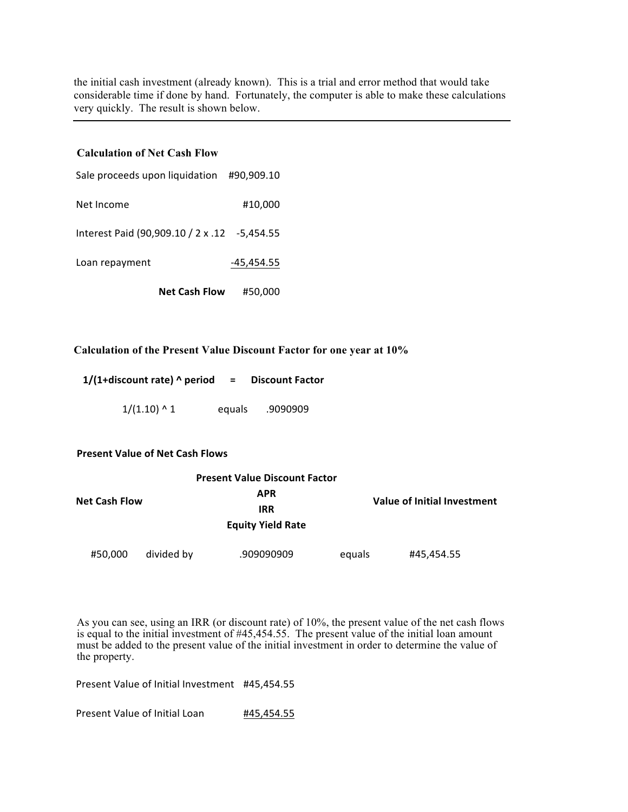the initial cash investment (already known). This is a trial and error method that would take considerable time if done by hand. Fortunately, the computer is able to make these calculations very quickly. The result is shown below.

#### **Calculation of Net Cash Flow**

| <b>Net Cash Flow</b>                         | #50,000      |
|----------------------------------------------|--------------|
| Loan repayment                               | $-45,454.55$ |
| Interest Paid (90,909.10 / 2 x .12 -5,454.55 |              |
| Net Income                                   | #10,000      |
| Sale proceeds upon liquidation #90,909.10    |              |

#### **Calculation of the Present Value Discount Factor for one year at 10%**

| $1/(1+$ discount rate) $\wedge$ period |        | = Discount Factor |
|----------------------------------------|--------|-------------------|
| $1/(1.10)$ ^ 1                         | equals | .9090909          |

#### **Present Value of Net Cash Flows**

|                      |            | <b>Present Value Discount Factor</b> |        |                             |  |
|----------------------|------------|--------------------------------------|--------|-----------------------------|--|
|                      |            | <b>APR</b>                           |        | Value of Initial Investment |  |
| <b>Net Cash Flow</b> |            | <b>IRR</b>                           |        |                             |  |
|                      |            | <b>Equity Yield Rate</b>             |        |                             |  |
| #50,000              | divided by | .909090909                           | equals | #45,454.55                  |  |

As you can see, using an IRR (or discount rate) of 10%, the present value of the net cash flows is equal to the initial investment of #45,454.55. The present value of the initial loan amount must be added to the present value of the initial investment in order to determine the value of the property.

Present Value of Initial Investment #45,454.55

Present Value of Initial Loan #45,454.55